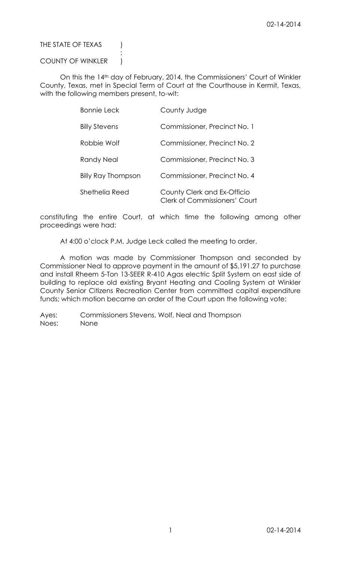## THE STATE OF TEXAS (

## COUNTY OF WINKLER |

:

On this the 14th day of February, 2014, the Commissioners' Court of Winkler County, Texas, met in Special Term of Court at the Courthouse in Kermit, Texas, with the following members present, to-wit:

| <b>Bonnie Leck</b>        | County Judge                                                        |
|---------------------------|---------------------------------------------------------------------|
| <b>Billy Stevens</b>      | Commissioner, Precinct No. 1                                        |
| Robbie Wolf               | Commissioner, Precinct No. 2                                        |
| Randy Neal                | Commissioner, Precinct No. 3                                        |
| <b>Billy Ray Thompson</b> | Commissioner, Precinct No. 4                                        |
| Shethelia Reed            | County Clerk and Ex-Officio<br><b>Clerk of Commissioners' Court</b> |

constituting the entire Court, at which time the following among other proceedings were had:

At 4:00 o'clock P.M. Judge Leck called the meeting to order.

A motion was made by Commissioner Thompson and seconded by Commissioner Neal to approve payment in the amount of \$5,191.27 to purchase and install Rheem 5-Ton 13-SEER R-410 Agas electric Split System on east side of building to replace old existing Bryant Heating and Cooling System at Winkler County Senior Citizens Recreation Center from committed capital expenditure funds; which motion became an order of the Court upon the following vote:

Ayes: Commissioners Stevens, Wolf, Neal and Thompson Noes: None